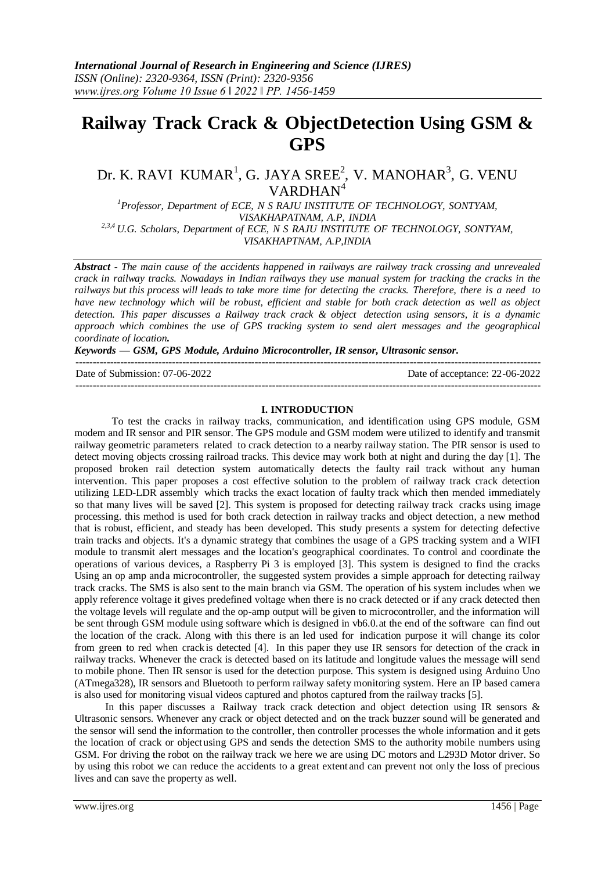# **Railway Track Crack & ObjectDetection Using GSM & GPS**

# Dr. K. RAVI KUMAR<sup>1</sup>, G. JAYA SREE<sup>2</sup>, V. MANOHAR<sup>3</sup>, G. VENU  $VARDHAN<sup>4</sup>$

*<sup>1</sup>Professor, Department of ECE, N S RAJU INSTITUTE OF TECHNOLOGY, SONTYAM, VISAKHAPATNAM, A.P, INDIA 2,3,4 U.G. Scholars, Department of ECE, N S RAJU INSTITUTE OF TECHNOLOGY, SONTYAM, VISAKHAPTNAM, A.P,INDIA*

*Abstract - The main cause of the accidents happened in railways are railway track crossing and unrevealed crack in railway tracks. Nowadays in Indian railways they use manual system for tracking the cracks in the railways but this process will leads to take more time for detecting the cracks. Therefore, there is a need to have new technology which will be robust, efficient and stable for both crack detection as well as object detection. This paper discusses a Railway track crack & object detection using sensors, it is a dynamic approach which combines the use of GPS tracking system to send alert messages and the geographical coordinate of location.*

## *Keywords — GSM, GPS Module, Arduino Microcontroller, IR sensor, Ultrasonic sensor.*

--------------------------------------------------------------------------------------------------------------------------------------- Date of Submission: 07-06-2022 Date of acceptance: 22-06-2022 ---------------------------------------------------------------------------------------------------------------------------------------

#### **I. INTRODUCTION**

To test the cracks in railway tracks, communication, and identification using GPS module, GSM modem and IR sensor and PIR sensor. The GPS module and GSM modem were utilized to identify and transmit railway geometric parameters related to crack detection to a nearby railway station. The PIR sensor is used to detect moving objects crossing railroad tracks. This device may work both at night and during the day [1]. The proposed broken rail detection system automatically detects the faulty rail track without any human intervention. This paper proposes a cost effective solution to the problem of railway track crack detection utilizing LED-LDR assembly which tracks the exact location of faulty track which then mended immediately so that many lives will be saved [2]. This system is proposed for detecting railway track cracks using image processing. this method is used for both crack detection in railway tracks and object detection, a new method that is robust, efficient, and steady has been developed. This study presents a system for detecting defective train tracks and objects. It's a dynamic strategy that combines the usage of a GPS tracking system and a WIFI module to transmit alert messages and the location's geographical coordinates. To control and coordinate the operations of various devices, a Raspberry Pi 3 is employed [3]. This system is designed to find the cracks Using an op amp anda microcontroller, the suggested system provides a simple approach for detecting railway track cracks. The SMS is also sent to the main branch via GSM. The operation of his system includes when we apply reference voltage it gives predefined voltage when there is no crack detected or if any crack detected then the voltage levels will regulate and the op-amp output will be given to microcontroller, and the information will be sent through GSM module using software which is designed in vb6.0.at the end of the software can find out the location of the crack. Along with this there is an led used for indication purpose it will change its color from green to red when crackis detected [4]. In this paper they use IR sensors for detection of the crack in railway tracks. Whenever the crack is detected based on its latitude and longitude values the message will send to mobile phone. Then IR sensor is used for the detection purpose. This system is designed using Arduino Uno (ATmega328), IR sensors and Bluetooth to perform railway safety monitoring system. Here an IP based camera is also used for monitoring visual videos captured and photos captured from the railway tracks [5].

In this paper discusses a Railway track crack detection and object detection using IR sensors  $\&$ Ultrasonic sensors. Whenever any crack or object detected and on the track buzzer sound will be generated and the sensor will send the information to the controller, then controller processes the whole information and it gets the location of crack or objectusing GPS and sends the detection SMS to the authority mobile numbers using GSM. For driving the robot on the railway track we here we are using DC motors and L293D Motor driver. So by using this robot we can reduce the accidents to a great extent and can prevent not only the loss of precious lives and can save the property as well.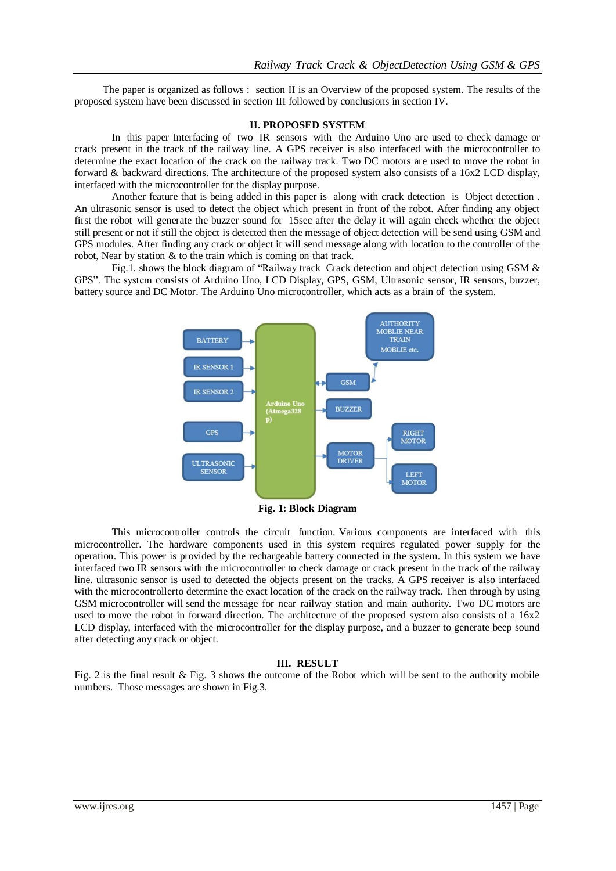The paper is organized as follows : section II is an Overview of the proposed system. The results of the proposed system have been discussed in section III followed by conclusions in section IV.

#### **II. PROPOSED SYSTEM**

In this paper Interfacing of two IR sensors with the Arduino Uno are used to check damage or crack present in the track of the railway line. A GPS receiver is also interfaced with the microcontroller to determine the exact location of the crack on the railway track. Two DC motors are used to move the robot in forward & backward directions. The architecture of the proposed system also consists of a 16x2 LCD display, interfaced with the microcontroller for the display purpose.

Another feature that is being added in this paper is along with crack detection is Object detection . An ultrasonic sensor is used to detect the object which present in front of the robot. After finding any object first the robot will generate the buzzer sound for 15sec after the delay it will again check whether the object still present or not if still the object is detected then the message of object detection will be send using GSM and GPS modules. After finding any crack or object it will send message along with location to the controller of the robot, Near by station & to the train which is coming on that track.

Fig.1. shows the block diagram of "Railway track Crack detection and object detection using GSM & GPS". The system consists of Arduino Uno, LCD Display, GPS, GSM, Ultrasonic sensor, IR sensors, buzzer, battery source and DC Motor. The Arduino Uno microcontroller, which acts as a brain of the system.



**Fig. 1: Block Diagram**

This microcontroller controls the circuit function. Various components are interfaced with this microcontroller. The hardware components used in this system requires regulated power supply for the operation. This power is provided by the rechargeable battery connected in the system. In this system we have interfaced two IR sensors with the microcontroller to check damage or crack present in the track of the railway line. ultrasonic sensor is used to detected the objects present on the tracks. A GPS receiver is also interfaced with the microcontrollerto determine the exact location of the crack on the railway track. Then through by using GSM microcontroller will send the message for near railway station and main authority. Two DC motors are used to move the robot in forward direction. The architecture of the proposed system also consists of a 16x2 LCD display, interfaced with the microcontroller for the display purpose, and a buzzer to generate beep sound after detecting any crack or object.

### **III. RESULT**

Fig. 2 is the final result & Fig. 3 shows the outcome of the Robot which will be sent to the authority mobile numbers. Those messages are shown in Fig.3.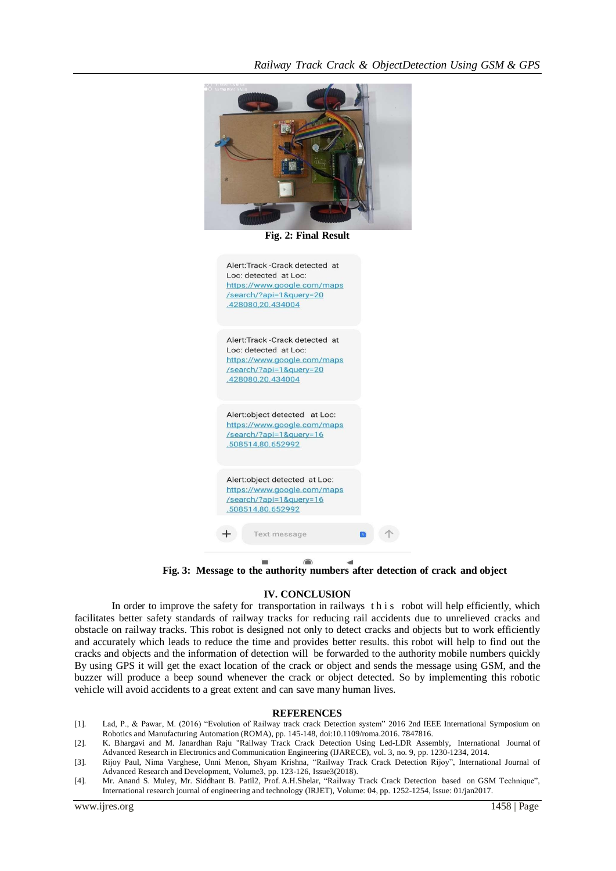

**Fig. 2: Final Result**



**Fig. 3: Message to the authority numbers after detection of crack and object**

#### **IV. CONCLUSION**

In order to improve the safety for transportation in railways this robot will help efficiently, which facilitates better safety standards of railway tracks for reducing rail accidents due to unrelieved cracks and obstacle on railway tracks. This robot is designed not only to detect cracks and objects but to work efficiently and accurately which leads to reduce the time and provides better results. this robot will help to find out the cracks and objects and the information of detection will be forwarded to the authority mobile numbers quickly By using GPS it will get the exact location of the crack or object and sends the message using GSM, and the buzzer will produce a beep sound whenever the crack or object detected. So by implementing this robotic vehicle will avoid accidents to a great extent and can save many human lives.

#### **REFERENCES**

- [1]. Lad, P., & Pawar, M. (2016) "Evolution of Railway track crack Detection system" 2016 2nd IEEE International Symposium on Robotics and Manufacturing Automation (ROMA), pp. 145-148, doi:10.1109/roma.2016. 7847816.
- [2]. K. Bhargavi and M. Janardhan Raju "Railway Track Crack Detection Using Led-LDR Assembly, International Journal of Advanced Research in Electronics and Communication Engineering (IJARECE), vol. 3, no. 9, pp. 1230-1234, 2014.
- [3]. Rijoy Paul, Nima Varghese, Unni Menon, Shyam Krishna, "Railway Track Crack Detection Rijoy", International Journal of Advanced Research and Development, Volume3, pp. 123-126, Issue3(2018).
- [4]. Mr. Anand S. Muley, Mr. Siddhant B. Patil2, Prof. A.H.Shelar, "Railway Track Crack Detection based on GSM Technique", International research journal of engineering and technology (IRJET), Volume: 04, pp. 1252-1254, Issue: 01/jan2017.